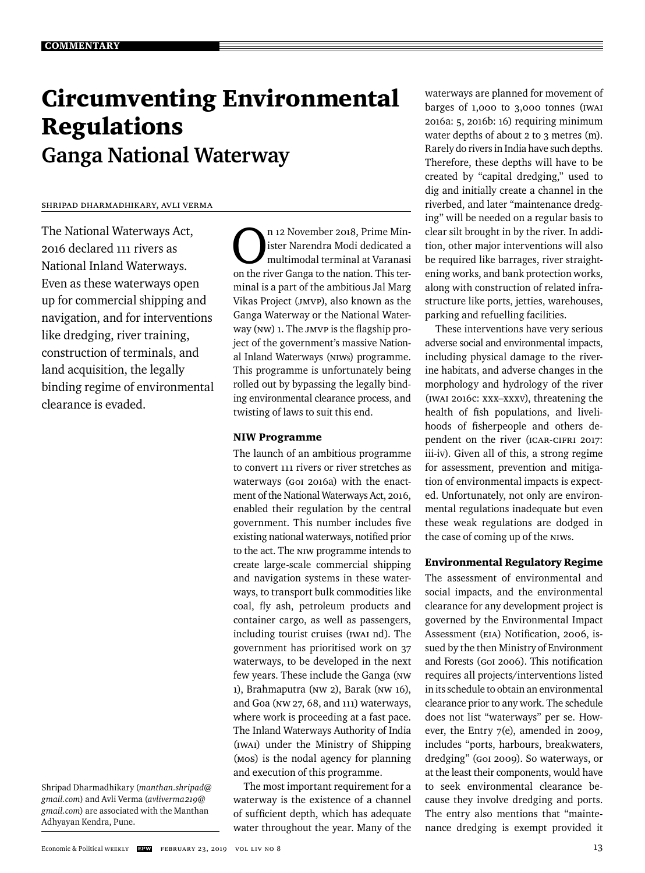# Circumventing Environmental Regulations **Ganga National Waterway**

#### Shripad Dharmadhikary, Avli Verma

The National Waterways Act, 2016 declared 111 rivers as National Inland Waterways. Even as these waterways open up for commercial shipping and navigation, and for interventions like dredging, river training, construction of terminals, and land acquisition, the legally binding regime of environmental clearance is evaded.

Shripad Dharmadhikary (*manthan.shripad@ gmail.com*) and Avli Verma (*avliverma219@ gmail.com*) are associated with the Manthan Adhyayan Kendra, Pune.

n 12 November 2018, Prime Min-<br>
ister Narendra Modi dedicated a<br>
multimodal terminal at Varanasi<br>
on the river Ganga to the pation. This term ister Narendra Modi dedicated a on the river Ganga to the nation. This terminal is a part of the ambitious Jal Marg Vikas Project (JMVP), also known as the Ganga Waterway or the National Waterway (NW) 1. The JMVP is the flagship project of the government's massive National Inland Waterways (NIWs) programme. This programme is unfortunately being rolled out by bypassing the legally binding environmental clearance process, and twisting of laws to suit this end.

# NIW Programme

The launch of an ambitious programme to convert 111 rivers or river stretches as waterways (GoI 2016a) with the enactment of the National Waterways Act, 2016, enabled their regulation by the central government. This number includes five existing national waterways, notified prior to the act. The NIW programme intends to create large-scale commercial shipping and navigation systems in these waterways, to transport bulk commodities like coal, fly ash, petroleum products and container cargo, as well as passengers, including tourist cruises (IWAI nd). The government has prioritised work on 37 waterways, to be developed in the next few years. These include the Ganga (NW 1), Brahmaputra (NW 2), Barak (NW 16), and Goa (NW 27, 68, and 111) waterways, where work is proceeding at a fast pace. The Inland Waterways Authority of India (IWAI) under the Ministry of Shipping (MoS) is the nodal agency for planning and execution of this programme.

The most important requirement for a waterway is the existence of a channel of sufficient depth, which has adequate water throughout the year. Many of the

waterways are planned for movement of barges of 1,000 to 3,000 tonnes (IWAI 2016a: 5, 2016b: 16) requiring minimum water depths of about 2 to 3 metres (m). Rarely do rivers in India have such depths. Therefore, these depths will have to be created by "capital dredging," used to dig and initially create a channel in the riverbed, and later "maintenance dredging" will be needed on a regular basis to clear silt brought in by the river. In addition, other major interventions will also be required like barrages, river straightening works, and bank protection works, along with construction of related infrastructure like ports, jetties, warehouses, parking and refuelling facilities.

These interventions have very serious adverse social and environmental impacts, including physical damage to the riverine habitats, and adverse changes in the morphology and hydrology of the river (IWAI 2016c: xxx–xxxv), threatening the health of fish populations, and livelihoods of fisherpeople and others dependent on the river (ICAR-CIFRI 2017: iii-iv). Given all of this, a strong regime for assessment, prevention and mitigation of environmental impacts is expected. Unfortunately, not only are environmental regulations inadequate but even these weak regulations are dodged in the case of coming up of the NIWs.

# Environmental Regulatory Regime

The assessment of environmental and social impacts, and the environmental clearance for any development project is governed by the Environmental Impact Assessment (EIA) Notification, 2006, issued by the then Ministry of Environment and Forests (GoI 2006). This notification requires all projects/interventions listed in its schedule to obtain an environmental clearance prior to any work. The schedule does not list "waterways" per se. However, the Entry 7(e), amended in 2009, includes "ports, harbours, breakwaters, dredging" (GoI 2009). So waterways, or at the least their components, would have to seek environmental clearance because they involve dredging and ports. The entry also mentions that "maintenance dredging is exempt provided it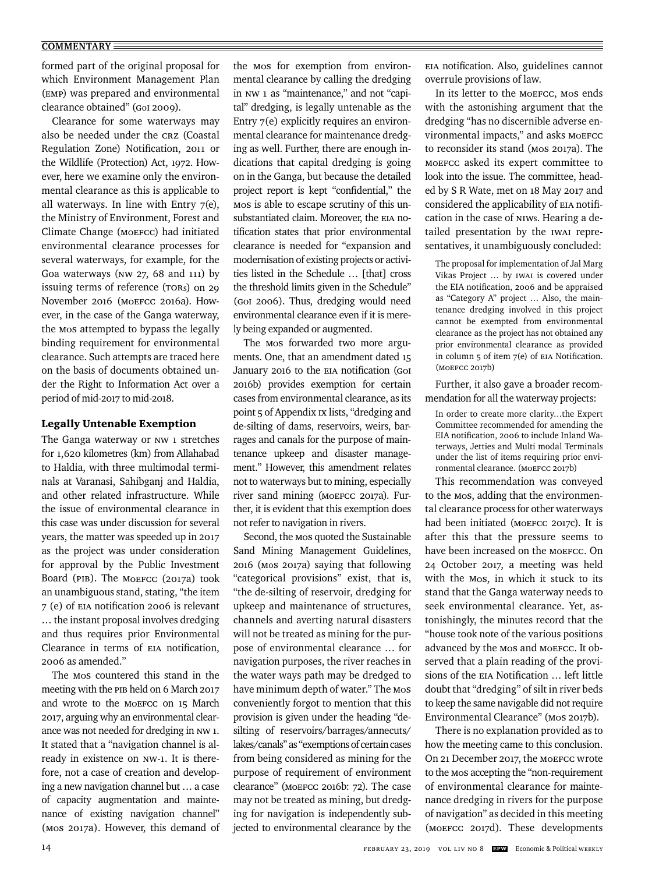formed part of the original proposal for which Environment Management Plan (EMP) was prepared and environmental clearance obtained" (GoI 2009).

Clearance for some waterways may also be needed under the CRZ (Coastal Regulation Zone) Notification, 2011 or the Wildlife (Protection) Act, 1972. However, here we examine only the environmental clearance as this is applicable to all waterways. In line with Entry  $7(e)$ , the Ministry of Environment, Forest and Climate Change (MoEFCC) had initiated environmental clearance processes for several waterways, for example, for the Goa waterways (NW 27, 68 and 111) by issuing terms of reference (TORs) on 29 November 2016 (MoEFCC 2016a). However, in the case of the Ganga waterway, the MoS attempted to bypass the legally binding requirement for environmental clearance. Such attempts are traced here on the basis of documents obtained under the Right to Information Act over a period of mid-2017 to mid-2018.

#### Legally Untenable Exemption

The Ganga waterway or NW 1 stretches for 1,620 kilometres (km) from Allahabad to Haldia, with three multimodal terminals at Varanasi, Sahibganj and Haldia, and other related infrastructure. While the issue of environmental clearance in this case was under discussion for several years, the matter was speeded up in 2017 as the project was under consideration for approval by the Public Investment Board (PIB). The MoEFCC (2017a) took an unambiguous stand, stating, "the item 7 (e) of EIA notification 2006 is relevant … the instant proposal involves dredging and thus requires prior Environmental Clearance in terms of EIA notification, 2006 as amended."

The MoS countered this stand in the meeting with the PIB held on 6 March 2017 and wrote to the MoEFCC on 15 March 2017, arguing why an environmental clearance was not needed for dredging in NW 1. It stated that a "navigation channel is already in existence on NW-1. It is therefore, not a case of creation and developing a new navigation channel but … a case of capacity augmentation and maintenance of existing navigation channel" (MoS 2017a). However, this demand of the MoS for exemption from environmental clearance by calling the dredging in NW 1 as "maintenance," and not "capital" dredging, is legally untenable as the Entry 7(e) explicitly requires an environmental clearance for maintenance dredging as well. Further, there are enough indications that capital dredging is going on in the Ganga, but because the detailed project report is kept "confidential," the MoS is able to escape scrutiny of this unsubstantiated claim. Moreover, the EIA notification states that prior environmental clearance is needed for "expansion and modernisation of existing projects or activities listed in the Schedule … [that] cross the threshold limits given in the Schedule" (GoI 2006). Thus, dredging would need environmental clearance even if it is merely being expanded or augmented.

The MoS forwarded two more arguments. One, that an amendment dated 15 January 2016 to the EIA notification (GOI 2016b) provides exemption for certain cases from environmental clearance, as its point 5 of Appendix IX lists, "dredging and de-silting of dams, reservoirs, weirs, barrages and canals for the purpose of maintenance upkeep and disaster management." However, this amendment relates not to waterways but to mining, especially river sand mining (MoEFCC 2017a). Further, it is evident that this exemption does not refer to navigation in rivers.

Second, the MoS quoted the Sustainable Sand Mining Management Guidelines, 2016 (MoS 2017a) saying that following "categorical provisions" exist, that is, "the de-silting of reservoir, dredging for upkeep and maintenance of structures, channels and averting natural disasters will not be treated as mining for the purpose of environmental clearance … for navigation purposes, the river reaches in the water ways path may be dredged to have minimum depth of water." The MoS conveniently forgot to mention that this provision is given under the heading "desilting of reservoirs/barrages/annecuts/ lakes/canals" as "exemptions of certain cases from being considered as mining for the purpose of requirement of environment clearance" (MoEFCC 2016b: 72). The case may not be treated as mining, but dredging for navigation is independently subjected to environmental clearance by the EIA notification. Also, guidelines cannot overrule provisions of law.

In its letter to the MoEFCC, MoS ends with the astonishing argument that the dredging "has no discernible adverse environmental impacts," and asks MoEFCC to reconsider its stand (MoS 2017a). The MoEFCC asked its expert committee to look into the issue. The committee, headed by S R Wate, met on 18 May 2017 and considered the applicability of EIA notification in the case of NIWs. Hearing a detailed presentation by the IWAI representatives, it unambiguously concluded:

The proposal for implementation of Jal Marg Vikas Project … by IWAI is covered under the EIA notification, 2006 and be appraised as "Category A" project … Also, the maintenance dredging involved in this project cannot be exempted from environmental clearance as the project has not obtained any prior environmental clearance as provided in column  $5$  of item  $7(e)$  of EIA Notification. (MoEFCC 2017b)

Further, it also gave a broader recommendation for all the waterway projects:

In order to create more clarity…the Expert Committee recommended for amending the EIA notification, 2006 to include Inland Waterways, Jetties and Multi modal Terminals under the list of items requiring prior environmental clearance. (MoEFCC 2017b)

This recommendation was conveyed to the MoS, adding that the environmental clearance process for other waterways had been initiated (MoEFCC 2017c). It is after this that the pressure seems to have been increased on the MoEFCC. On 24 October 2017, a meeting was held with the MoS, in which it stuck to its stand that the Ganga waterway needs to seek environmental clearance. Yet, astonishingly, the minutes record that the "house took note of the various positions advanced by the MoS and MoEFCC. It observed that a plain reading of the provisions of the EIA Notification ... left little doubt that "dredging" of silt in river beds to keep the same navigable did not require Environmental Clearance" (MoS 2017b).

There is no explanation provided as to how the meeting came to this conclusion. On 21 December 2017, the MoEFCC wrote to the MoS accepting the "non-requirement of environmental clearance for maintenance dredging in rivers for the purpose of navigation" as decided in this meeting (MoEFCC 2017d). These developments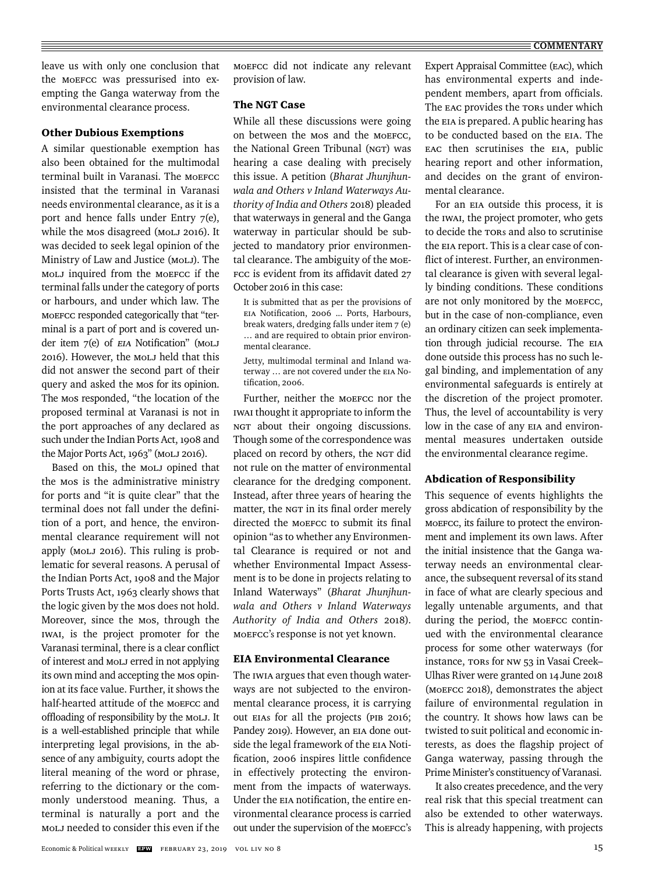#### $\equiv$  **COMMENTARY**

leave us with only one conclusion that the MoEFCC was pressurised into exempting the Ganga waterway from the environmental clearance process.

# Other Dubious Exemptions

A similar questionable exemption has also been obtained for the multimodal terminal built in Varanasi. The MoEFCC insisted that the terminal in Varanasi needs environmental clearance, as it is a port and hence falls under Entry 7(e), while the MoS disagreed (MoLJ 2016). It was decided to seek legal opinion of the Ministry of Law and Justice (MoLJ). The MoLJ inquired from the MoEFCC if the terminal falls under the category of ports or harbours, and under which law. The MoEFCC responded categorically that "terminal is a part of port and is covered under item 7(e) of EIA Notification" (MOLJ 2016). However, the MoLJ held that this did not answer the second part of their query and asked the MoS for its opinion. The MoS responded, "the location of the proposed terminal at Varanasi is not in the port approaches of any declared as such under the Indian Ports Act, 1908 and the Major Ports Act, 1963" (MoLJ 2016).

Based on this, the MoLJ opined that the MoS is the administrative ministry for ports and "it is quite clear" that the terminal does not fall under the definition of a port, and hence, the environmental clearance requirement will not apply (MoLJ 2016). This ruling is problematic for several reasons. A perusal of the Indian Ports Act, 1908 and the Major Ports Trusts Act, 1963 clearly shows that the logic given by the MoS does not hold. Moreover, since the MoS, through the IWAI, is the project promoter for the Varanasi terminal, there is a clear conflict of interest and MoLJ erred in not applying its own mind and accepting the MoS opinion at its face value. Further, it shows the half-hearted attitude of the MoEFCC and offloading of responsibility by the MOLJ. It is a well-established principle that while interpreting legal provisions, in the absence of any ambiguity, courts adopt the literal meaning of the word or phrase, referring to the dictionary or the commonly understood meaning. Thus, a terminal is naturally a port and the MoLJ needed to consider this even if the

MoEFCC did not indicate any relevant provision of law.

# The NGT Case

While all these discussions were going on between the MoS and the MoEFCC, the National Green Tribunal (NGT) was hearing a case dealing with precisely this issue. A petition (*Bharat Jhunjhunwala and Others v Inland Waterways Authority of India and Others* 2018) pleaded that waterways in general and the Ganga waterway in particular should be subjected to mandatory prior environmental clearance. The ambiguity of the MoE-FCC is evident from its affidavit dated 27 October 2016 in this case:

It is submitted that as per the provisions of EIA Notification, 2006 ... Ports, Harbours, break waters, dredging falls under item 7 (e) … and are required to obtain prior environmental clearance.

Jetty, multimodal terminal and Inland waterway … are not covered under the EIA Notification, 2006.

Further, neither the MoEFCC nor the IWAI thought it appropriate to inform the NGT about their ongoing discussions. Though some of the correspondence was placed on record by others, the NGT did not rule on the matter of environmental clearance for the dredging component. Instead, after three years of hearing the matter, the NGT in its final order merely directed the MOEFCC to submit its final opinion "as to whether any Environmental Clearance is required or not and whether Environmental Impact Assessment is to be done in projects relating to Inland Waterways" (*Bharat Jhunjhunwala and Others v Inland Waterways Authority of India and Others* 2018). MoEFCC's response is not yet known.

#### EIA Environmental Clearance

The IWIA argues that even though waterways are not subjected to the environmental clearance process, it is carrying out EIAs for all the projects (PIB 2016; Pandey 2019). However, an EIA done outside the legal framework of the EIA Notification, 2006 inspires little confidence in effectively protecting the environment from the impacts of waterways. Under the EIA notification, the entire environmental clearance process is carried out under the supervision of the MoEFCC's Expert Appraisal Committee (EAC), which has environmental experts and independent members, apart from officials. The EAC provides the TORs under which the EIA is prepared. A public hearing has to be conducted based on the EIA. The EAC then scrutinises the EIA, public hearing report and other information, and decides on the grant of environmental clearance.

For an EIA outside this process, it is the IWAI, the project promoter, who gets to decide the TORs and also to scrutinise the EIA report. This is a clear case of conflict of interest. Further, an environmental clearance is given with several legally binding conditions. These conditions are not only monitored by the MoEFCC, but in the case of non-compliance, even an ordinary citizen can seek implementation through judicial recourse. The EIA done outside this process has no such legal binding, and implementation of any environmental safeguards is entirely at the discretion of the project promoter. Thus, the level of accountability is very low in the case of any EIA and environmental measures undertaken outside the environmental clearance regime.

#### Abdication of Responsibility

This sequence of events highlights the gross abdication of responsibility by the MoEFCC, its failure to protect the environment and implement its own laws. After the initial insistence that the Ganga waterway needs an environmental clearance, the subsequent reversal of its stand in face of what are clearly specious and legally untenable arguments, and that during the period, the MoEFCC continued with the environmental clearance process for some other waterways (for instance, TORs for NW 53 in Vasai Creek– Ulhas River were granted on 14 June 2018 (MoEFCC 2018), demonstrates the abject failure of environmental regulation in the country. It shows how laws can be twisted to suit political and economic interests, as does the flagship project of Ganga waterway, passing through the Prime Minister's constituency of Varanasi.

It also creates precedence, and the very real risk that this special treatment can also be extended to other waterways. This is already happening, with projects